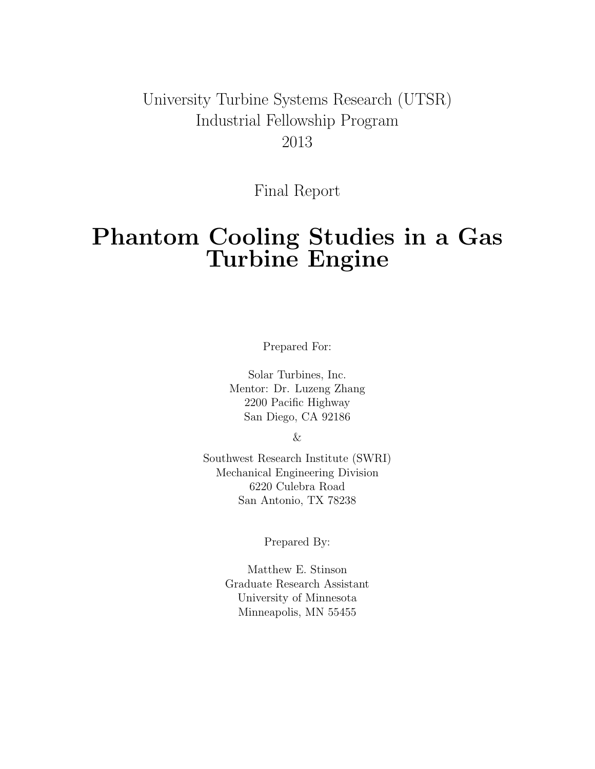### University Turbine Systems Research (UTSR) Industrial Fellowship Program 2013

Final Report

# Phantom Cooling Studies in a Gas Turbine Engine

Prepared For:

Solar Turbines, Inc. Mentor: Dr. Luzeng Zhang 2200 Pacific Highway San Diego, CA 92186

&

Southwest Research Institute (SWRI) Mechanical Engineering Division 6220 Culebra Road San Antonio, TX 78238

Prepared By:

Matthew E. Stinson Graduate Research Assistant University of Minnesota Minneapolis, MN 55455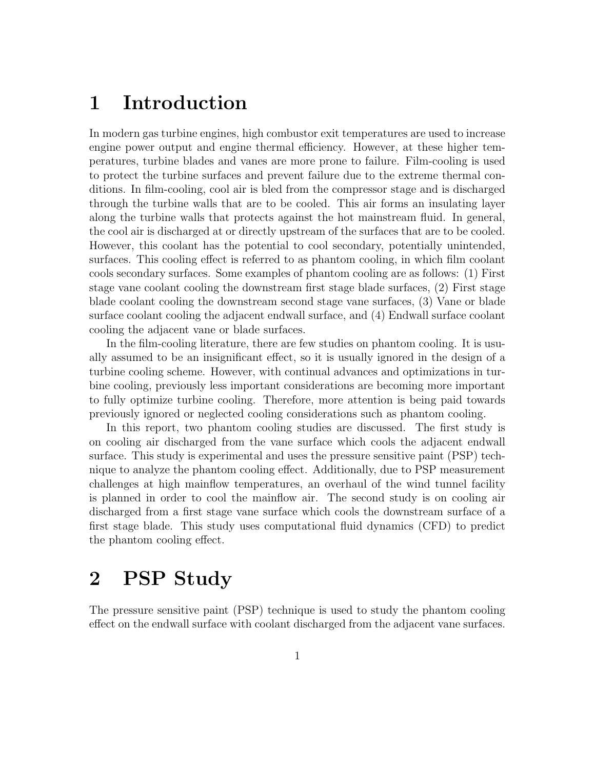## 1 Introduction

In modern gas turbine engines, high combustor exit temperatures are used to increase engine power output and engine thermal efficiency. However, at these higher temperatures, turbine blades and vanes are more prone to failure. Film-cooling is used to protect the turbine surfaces and prevent failure due to the extreme thermal conditions. In film-cooling, cool air is bled from the compressor stage and is discharged through the turbine walls that are to be cooled. This air forms an insulating layer along the turbine walls that protects against the hot mainstream fluid. In general, the cool air is discharged at or directly upstream of the surfaces that are to be cooled. However, this coolant has the potential to cool secondary, potentially unintended, surfaces. This cooling effect is referred to as phantom cooling, in which film coolant cools secondary surfaces. Some examples of phantom cooling are as follows: (1) First stage vane coolant cooling the downstream first stage blade surfaces, (2) First stage blade coolant cooling the downstream second stage vane surfaces, (3) Vane or blade surface coolant cooling the adjacent endwall surface, and (4) Endwall surface coolant cooling the adjacent vane or blade surfaces.

In the film-cooling literature, there are few studies on phantom cooling. It is usually assumed to be an insignificant effect, so it is usually ignored in the design of a turbine cooling scheme. However, with continual advances and optimizations in turbine cooling, previously less important considerations are becoming more important to fully optimize turbine cooling. Therefore, more attention is being paid towards previously ignored or neglected cooling considerations such as phantom cooling.

In this report, two phantom cooling studies are discussed. The first study is on cooling air discharged from the vane surface which cools the adjacent endwall surface. This study is experimental and uses the pressure sensitive paint (PSP) technique to analyze the phantom cooling effect. Additionally, due to PSP measurement challenges at high mainflow temperatures, an overhaul of the wind tunnel facility is planned in order to cool the mainflow air. The second study is on cooling air discharged from a first stage vane surface which cools the downstream surface of a first stage blade. This study uses computational fluid dynamics (CFD) to predict the phantom cooling effect.

## 2 PSP Study

The pressure sensitive paint (PSP) technique is used to study the phantom cooling effect on the endwall surface with coolant discharged from the adjacent vane surfaces.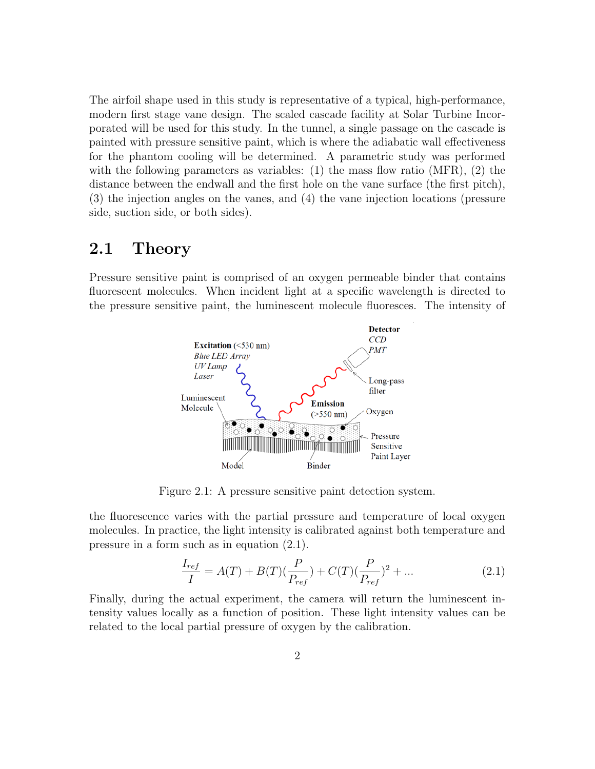The airfoil shape used in this study is representative of a typical, high-performance, modern first stage vane design. The scaled cascade facility at Solar Turbine Incorporated will be used for this study. In the tunnel, a single passage on the cascade is painted with pressure sensitive paint, which is where the adiabatic wall effectiveness for the phantom cooling will be determined. A parametric study was performed with the following parameters as variables: (1) the mass flow ratio (MFR), (2) the distance between the endwall and the first hole on the vane surface (the first pitch), (3) the injection angles on the vanes, and (4) the vane injection locations (pressure side, suction side, or both sides).

### 2.1 Theory

Pressure sensitive paint is comprised of an oxygen permeable binder that contains fluorescent molecules. When incident light at a specific wavelength is directed to the pressure sensitive paint, the luminescent molecule fluoresces. The intensity of



Figure 2.1: A pressure sensitive paint detection system.

the fluorescence varies with the partial pressure and temperature of local oxygen molecules. In practice, the light intensity is calibrated against both temperature and pressure in a form such as in equation (2.1).

$$
\frac{I_{ref}}{I} = A(T) + B(T)\left(\frac{P}{P_{ref}}\right) + C(T)\left(\frac{P}{P_{ref}}\right)^2 + \dots
$$
\n(2.1)

Finally, during the actual experiment, the camera will return the luminescent intensity values locally as a function of position. These light intensity values can be related to the local partial pressure of oxygen by the calibration.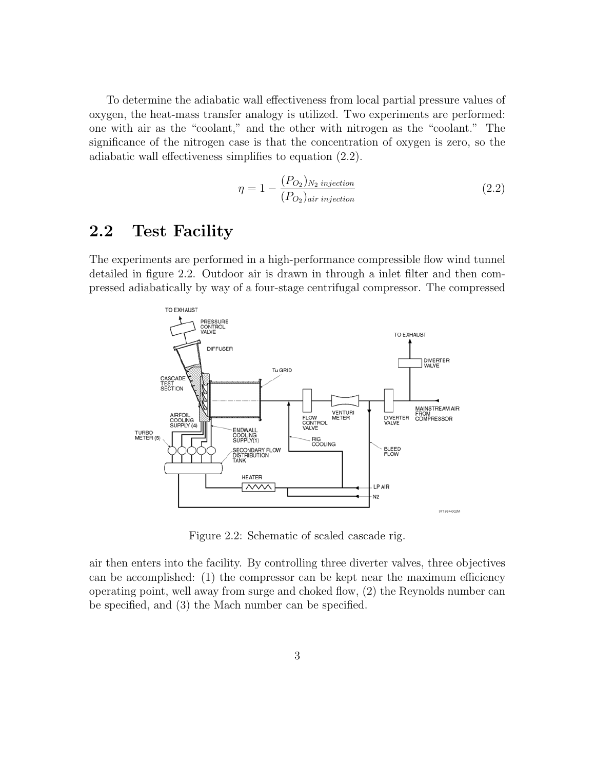To determine the adiabatic wall effectiveness from local partial pressure values of oxygen, the heat-mass transfer analogy is utilized. Two experiments are performed: one with air as the "coolant," and the other with nitrogen as the "coolant." The significance of the nitrogen case is that the concentration of oxygen is zero, so the adiabatic wall effectiveness simplifies to equation (2.2).

$$
\eta = 1 - \frac{(P_{O_2})_{N_2 \text{ injection}}}{(P_{O_2})_{air \text{ injection}}}
$$
\n(2.2)

### 2.2 Test Facility

The experiments are performed in a high-performance compressible flow wind tunnel detailed in figure 2.2. Outdoor air is drawn in through a inlet filter and then compressed adiabatically by way of a four-stage centrifugal compressor. The compressed



Figure 2.2: Schematic of scaled cascade rig.

air then enters into the facility. By controlling three diverter valves, three objectives can be accomplished: (1) the compressor can be kept near the maximum efficiency operating point, well away from surge and choked flow, (2) the Reynolds number can be specified, and (3) the Mach number can be specified.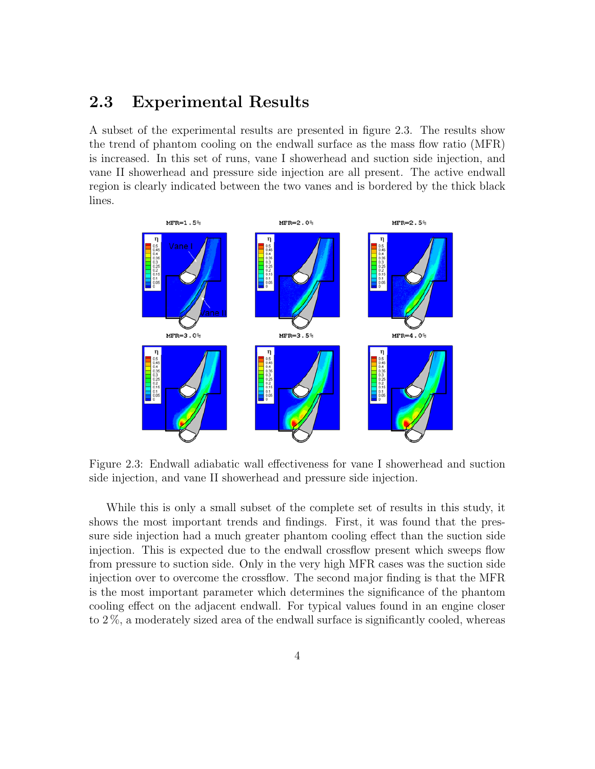### 2.3 Experimental Results

A subset of the experimental results are presented in figure 2.3. The results show the trend of phantom cooling on the endwall surface as the mass flow ratio (MFR) is increased. In this set of runs, vane I showerhead and suction side injection, and vane II showerhead and pressure side injection are all present. The active endwall region is clearly indicated between the two vanes and is bordered by the thick black lines.



Figure 2.3: Endwall adiabatic wall effectiveness for vane I showerhead and suction side injection, and vane II showerhead and pressure side injection.

While this is only a small subset of the complete set of results in this study, it shows the most important trends and findings. First, it was found that the pressure side injection had a much greater phantom cooling effect than the suction side injection. This is expected due to the endwall crossflow present which sweeps flow from pressure to suction side. Only in the very high MFR cases was the suction side injection over to overcome the crossflow. The second major finding is that the MFR is the most important parameter which determines the significance of the phantom cooling effect on the adjacent endwall. For typical values found in an engine closer to 2 %, a moderately sized area of the endwall surface is significantly cooled, whereas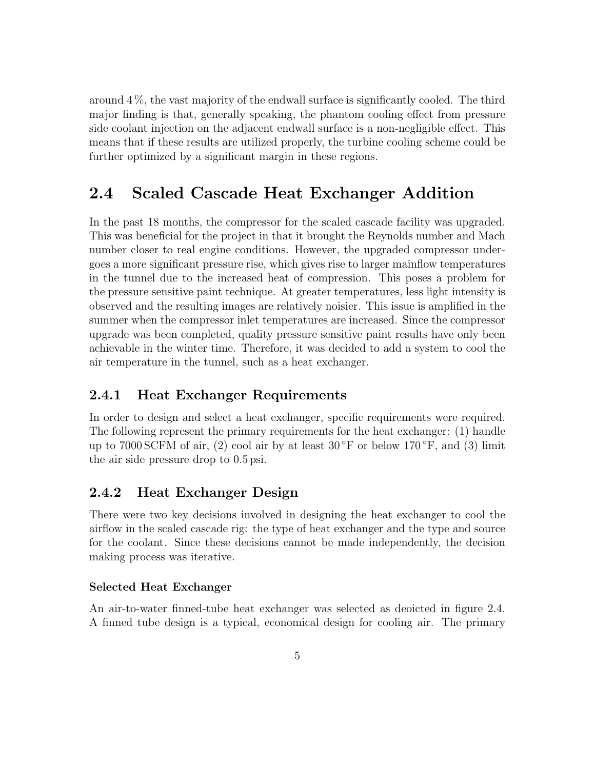around 4 %, the vast majority of the endwall surface is significantly cooled. The third major finding is that, generally speaking, the phantom cooling effect from pressure side coolant injection on the adjacent endwall surface is a non-negligible effect. This means that if these results are utilized properly, the turbine cooling scheme could be further optimized by a significant margin in these regions.

### 2.4 Scaled Cascade Heat Exchanger Addition

In the past 18 months, the compressor for the scaled cascade facility was upgraded. This was beneficial for the project in that it brought the Reynolds number and Mach number closer to real engine conditions. However, the upgraded compressor undergoes a more significant pressure rise, which gives rise to larger mainflow temperatures in the tunnel due to the increased heat of compression. This poses a problem for the pressure sensitive paint technique. At greater temperatures, less light intensity is observed and the resulting images are relatively noisier. This issue is amplified in the summer when the compressor inlet temperatures are increased. Since the compressor upgrade was been completed, quality pressure sensitive paint results have only been achievable in the winter time. Therefore, it was decided to add a system to cool the air temperature in the tunnel, such as a heat exchanger.

#### 2.4.1 Heat Exchanger Requirements

In order to design and select a heat exchanger, specific requirements were required. The following represent the primary requirements for the heat exchanger: (1) handle up to 7000 SCFM of air, (2) cool air by at least  $30 °$ F or below  $170 °$ F, and (3) limit the air side pressure drop to 0.5 psi.

#### 2.4.2 Heat Exchanger Design

There were two key decisions involved in designing the heat exchanger to cool the airflow in the scaled cascade rig: the type of heat exchanger and the type and source for the coolant. Since these decisions cannot be made independently, the decision making process was iterative.

#### Selected Heat Exchanger

An air-to-water finned-tube heat exchanger was selected as deoicted in figure 2.4. A finned tube design is a typical, economical design for cooling air. The primary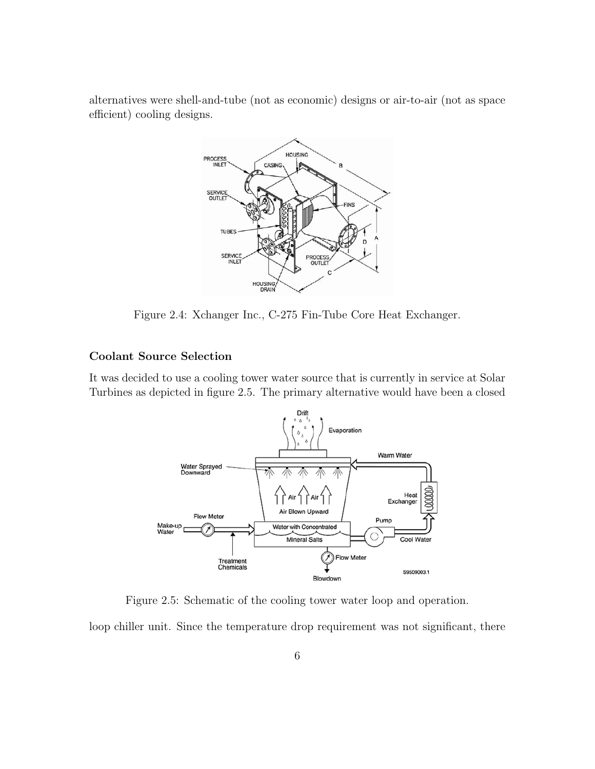alternatives were shell-and-tube (not as economic) designs or air-to-air (not as space efficient) cooling designs.



Figure 2.4: Xchanger Inc., C-275 Fin-Tube Core Heat Exchanger.

#### Coolant Source Selection

It was decided to use a cooling tower water source that is currently in service at Solar Turbines as depicted in figure 2.5. The primary alternative would have been a closed



Figure 2.5: Schematic of the cooling tower water loop and operation.

loop chiller unit. Since the temperature drop requirement was not significant, there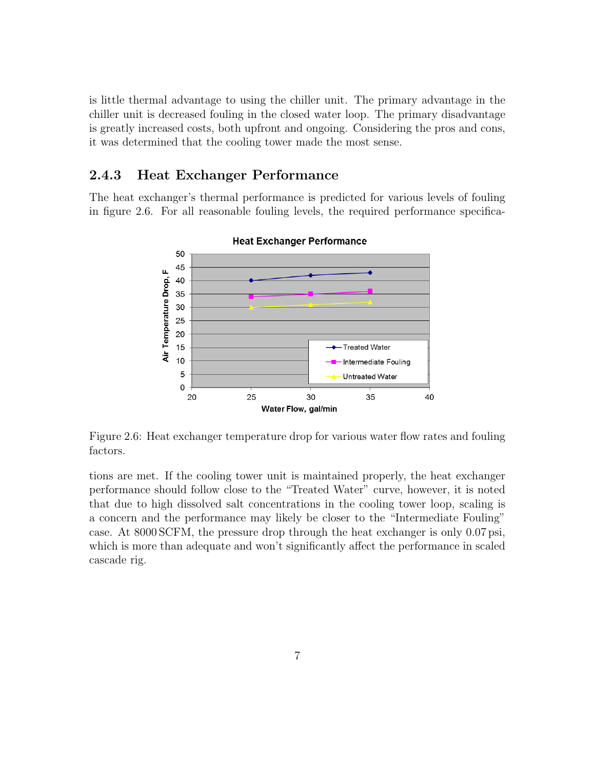is little thermal advantage to using the chiller unit. The primary advantage in the chiller unit is decreased fouling in the closed water loop. The primary disadvantage is greatly increased costs, both upfront and ongoing. Considering the pros and cons, it was determined that the cooling tower made the most sense.

#### 2.4.3 Heat Exchanger Performance

The heat exchanger's thermal performance is predicted for various levels of fouling in figure 2.6. For all reasonable fouling levels, the required performance specifica-



**Heat Exchanger Performance** 

Figure 2.6: Heat exchanger temperature drop for various water flow rates and fouling factors.

tions are met. If the cooling tower unit is maintained properly, the heat exchanger performance should follow close to the "Treated Water" curve, however, it is noted that due to high dissolved salt concentrations in the cooling tower loop, scaling is a concern and the performance may likely be closer to the "Intermediate Fouling" case. At 8000 SCFM, the pressure drop through the heat exchanger is only 0.07 psi, which is more than adequate and won't significantly affect the performance in scaled cascade rig.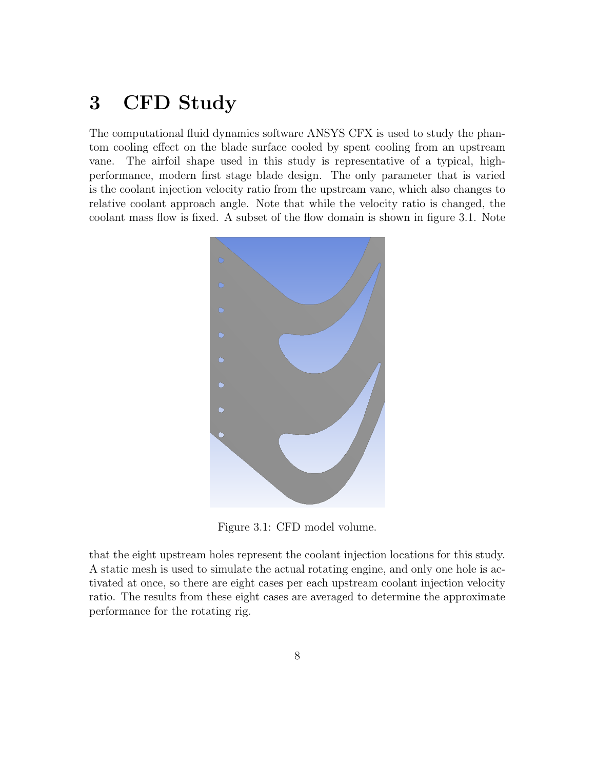## 3 CFD Study

The computational fluid dynamics software ANSYS CFX is used to study the phantom cooling effect on the blade surface cooled by spent cooling from an upstream vane. The airfoil shape used in this study is representative of a typical, highperformance, modern first stage blade design. The only parameter that is varied is the coolant injection velocity ratio from the upstream vane, which also changes to relative coolant approach angle. Note that while the velocity ratio is changed, the coolant mass flow is fixed. A subset of the flow domain is shown in figure 3.1. Note



Figure 3.1: CFD model volume.

that the eight upstream holes represent the coolant injection locations for this study. A static mesh is used to simulate the actual rotating engine, and only one hole is activated at once, so there are eight cases per each upstream coolant injection velocity ratio. The results from these eight cases are averaged to determine the approximate performance for the rotating rig.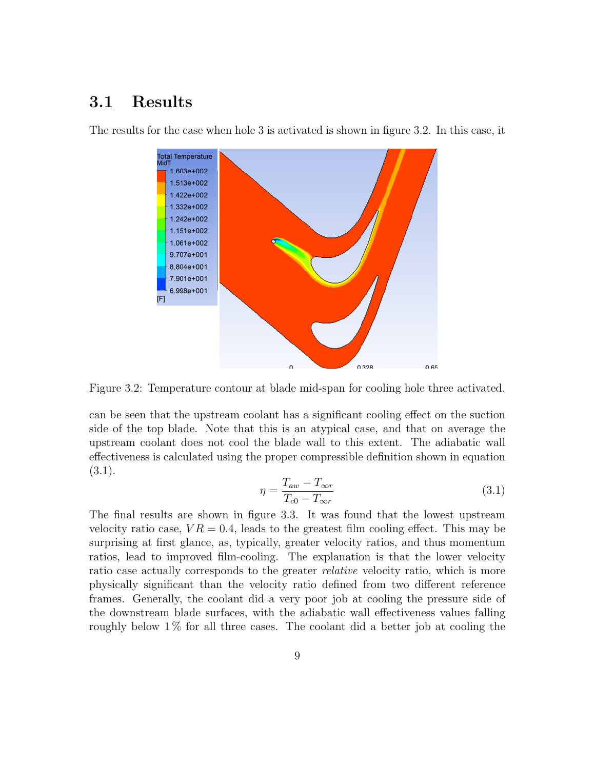### 3.1 Results



The results for the case when hole 3 is activated is shown in figure 3.2. In this case, it

Figure 3.2: Temperature contour at blade mid-span for cooling hole three activated.

can be seen that the upstream coolant has a significant cooling effect on the suction side of the top blade. Note that this is an atypical case, and that on average the upstream coolant does not cool the blade wall to this extent. The adiabatic wall effectiveness is calculated using the proper compressible definition shown in equation (3.1).

$$
\eta = \frac{T_{aw} - T_{\infty r}}{T_{c0} - T_{\infty r}}\tag{3.1}
$$

The final results are shown in figure 3.3. It was found that the lowest upstream velocity ratio case,  $VR = 0.4$ , leads to the greatest film cooling effect. This may be surprising at first glance, as, typically, greater velocity ratios, and thus momentum ratios, lead to improved film-cooling. The explanation is that the lower velocity ratio case actually corresponds to the greater *relative* velocity ratio, which is more physically significant than the velocity ratio defined from two different reference frames. Generally, the coolant did a very poor job at cooling the pressure side of the downstream blade surfaces, with the adiabatic wall effectiveness values falling roughly below  $1\%$  for all three cases. The coolant did a better job at cooling the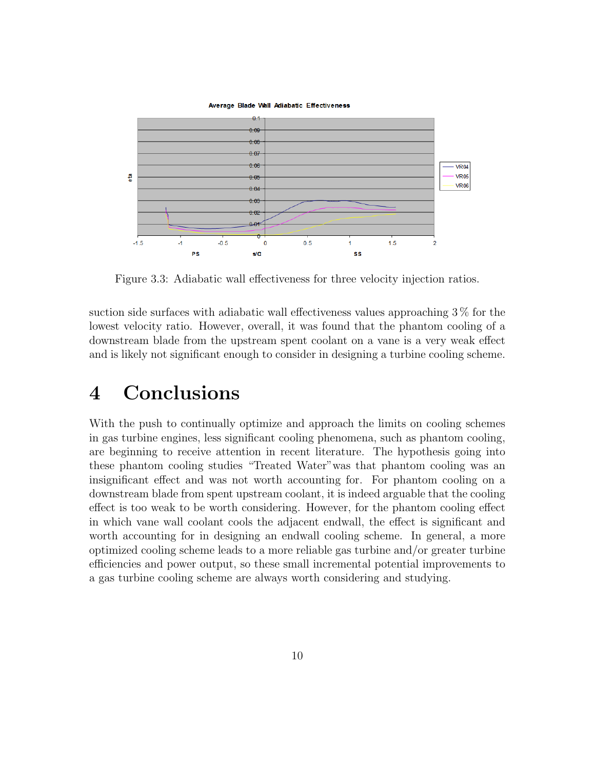

Figure 3.3: Adiabatic wall effectiveness for three velocity injection ratios.

suction side surfaces with adiabatic wall effectiveness values approaching 3 % for the lowest velocity ratio. However, overall, it was found that the phantom cooling of a downstream blade from the upstream spent coolant on a vane is a very weak effect and is likely not significant enough to consider in designing a turbine cooling scheme.

## 4 Conclusions

With the push to continually optimize and approach the limits on cooling schemes in gas turbine engines, less significant cooling phenomena, such as phantom cooling, are beginning to receive attention in recent literature. The hypothesis going into these phantom cooling studies "Treated Water"was that phantom cooling was an insignificant effect and was not worth accounting for. For phantom cooling on a downstream blade from spent upstream coolant, it is indeed arguable that the cooling effect is too weak to be worth considering. However, for the phantom cooling effect in which vane wall coolant cools the adjacent endwall, the effect is significant and worth accounting for in designing an endwall cooling scheme. In general, a more optimized cooling scheme leads to a more reliable gas turbine and/or greater turbine efficiencies and power output, so these small incremental potential improvements to a gas turbine cooling scheme are always worth considering and studying.